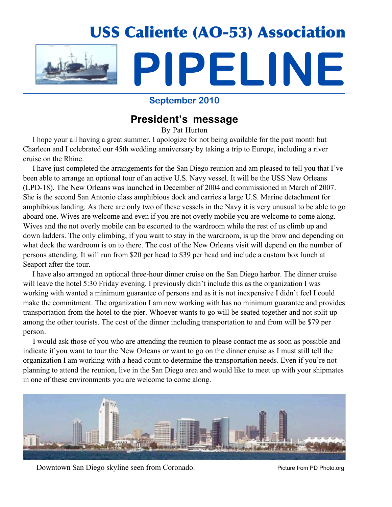

### **September 2010**

## **President's message**

By Pat Hurton

 I hope your all having a great summer. I apologize for not being available for the past month but Charleen and I celebrated our 45th wedding anniversary by taking a trip to Europe, including a river cruise on the Rhine.

 I have just completed the arrangements for the San Diego reunion and am pleased to tell you that I've been able to arrange an optional tour of an active U.S. Navy vessel. It will be the USS New Orleans (LPD-18). The New Orleans was launched in December of 2004 and commissioned in March of 2007. She is the second San Antonio class amphibious dock and carries a large U.S. Marine detachment for amphibious landing. As there are only two of these vessels in the Navy it is very unusual to be able to go aboard one. Wives are welcome and even if you are not overly mobile you are welcome to come along. Wives and the not overly mobile can be escorted to the wardroom while the rest of us climb up and down ladders. The only climbing, if you want to stay in the wardroom, is up the brow and depending on what deck the wardroom is on to there. The cost of the New Orleans visit will depend on the number of persons attending. It will run from \$20 per head to \$39 per head and include a custom box lunch at Seaport after the tour.

 I have also arranged an optional three-hour dinner cruise on the San Diego harbor. The dinner cruise will leave the hotel 5:30 Friday evening. I previously didn't include this as the organization I was working with wanted a minimum guarantee of persons and as it is not inexpensive I didn't feel I could make the commitment. The organization I am now working with has no minimum guarantee and provides transportation from the hotel to the pier. Whoever wants to go will be seated together and not split up among the other tourists. The cost of the dinner including transportation to and from will be \$79 per person.

 I would ask those of you who are attending the reunion to please contact me as soon as possible and indicate if you want to tour the New Orleans or want to go on the dinner cruise as I must still tell the organization I am working with a head count to determine the transportation needs. Even if you're not planning to attend the reunion, live in the San Diego area and would like to meet up with your shipmates in one of these environments you are welcome to come along.



Downtown San Diego skyline seen from Coronado. Picture from PD Photo.org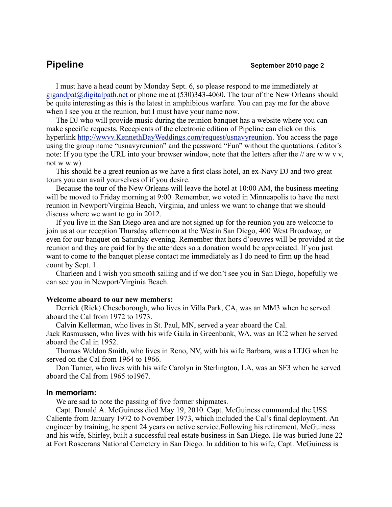I must have a head count by Monday Sept. 6, so please respond to me immediately at gigandpat@digitalpath.net or phone me at (530)343-4060. The tour of the New Orleans should be quite interesting as this is the latest in amphibious warfare. You can pay me for the above when I see you at the reunion, but I must have your name now.

The DJ who will provide music during the reunion banquet has a website where you can make specific requests. Recepients of the electronic edition of Pipeline can click on this hyperlink http://wwvv.KennethDayWeddings.com/request/usnavyreunion. You access the page using the group name "usnavyreunion" and the password "Fun" without the quotations. (editor's note: If you type the URL into your browser window, note that the letters after the // are w w v v, not w w w)

This should be a great reunion as we have a first class hotel, an ex-Navy DJ and two great tours you can avail yourselves of if you desire.

Because the tour of the New Orleans will leave the hotel at 10:00 AM, the business meeting will be moved to Friday morning at 9:00. Remember, we voted in Minneapolis to have the next reunion in Newport/Virginia Beach, Virginia, and unless we want to change that we should discuss where we want to go in 2012.

If you live in the San Diego area and are not signed up for the reunion you are welcome to join us at our reception Thursday afternoon at the Westin San Diego, 400 West Broadway, or even for our banquet on Saturday evening. Remember that hors d'oeuvres will be provided at the reunion and they are paid for by the attendees so a donation would be appreciated. If you just want to come to the banquet please contact me immediately as I do need to firm up the head count by Sept. 1.

Charleen and I wish you smooth sailing and if we don't see you in San Diego, hopefully we can see you in Newport/Virginia Beach.

### **Welcome aboard to our new members:**

Derrick (Rick) Cheseborough, who lives in Villa Park, CA, was an MM3 when he served aboard the Cal from 1972 to 1973.

Calvin Kellerman, who lives in St. Paul, MN, served a year aboard the Cal. Jack Rasmussen, who lives with his wife Gaila in Greenbank, WA, was an IC2 when he served aboard the Cal in 1952.

Thomas Weldon Smith, who lives in Reno, NV, with his wife Barbara, was a LTJG when he served on the Cal from 1964 to 1966.

Don Turner, who lives with his wife Carolyn in Sterlington, LA, was an SF3 when he served aboard the Cal from 1965 to1967.

### **In memoriam:**

We are sad to note the passing of five former shipmates.

Capt. Donald A. McGuiness died May 19, 2010. Capt. McGuiness commanded the USS Caliente from January 1972 to November 1973, which included the Cal's final deployment. An engineer by training, he spent 24 years on active service.Following his retirement, McGuiness and his wife, Shirley, built a successful real estate business in San Diego. He was buried June 22 at Fort Rosecrans National Cemetery in San Diego. In addition to his wife, Capt. McGuiness is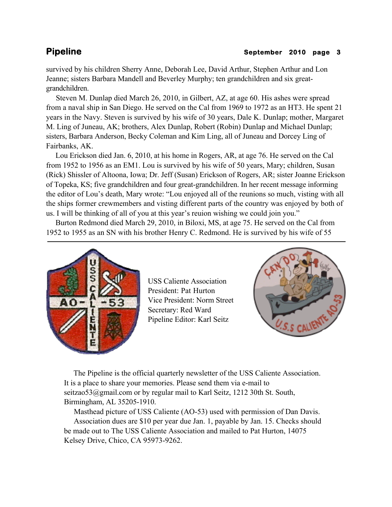### **Pipeline** September 2010 page 3

survived by his children Sherry Anne, Deborah Lee, David Arthur, Stephen Arthur and Lon Jeanne; sisters Barbara Mandell and Beverley Murphy; ten grandchildren and six greatgrandchildren.

 Steven M. Dunlap died March 26, 2010, in Gilbert, AZ, at age 60. His ashes were spread from a naval ship in San Diego. He served on the Cal from 1969 to 1972 as an HT3. He spent 21 years in the Navy. Steven is survived by his wife of 30 years, Dale K. Dunlap; mother, Margaret M. Ling of Juneau, AK; brothers, Alex Dunlap, Robert (Robin) Dunlap and Michael Dunlap; sisters, Barbara Anderson, Becky Coleman and Kim Ling, all of Juneau and Dorcey Ling of Fairbanks, AK.

 Lou Erickson died Jan. 6, 2010, at his home in Rogers, AR, at age 76. He served on the Cal from 1952 to 1956 as an EM1. Lou is survived by his wife of 50 years, Mary; children, Susan (Rick) Shissler of Altoona, Iowa; Dr. Jeff (Susan) Erickson of Rogers, AR; sister Joanne Erickson of Topeka, KS; five grandchildren and four great-grandchildren. In her recent message informing the editor of Lou's death, Mary wrote: "Lou enjoyed all of the reunions so much, visting with all the ships former crewmembers and visting different parts of the country was enjoyed by both of us. I will be thinking of all of you at this year's reuion wishing we could join you."

 Burton Redmond died March 29, 2010, in Biloxi, MS, at age 75. He served on the Cal from 1952 to 1955 as an SN with his brother Henry C. Redmond. He is survived by his wife of 55



USS Caliente Association President: Pat Hurton Vice President: Norm Street Secretary: Red Ward Pipeline Editor: Karl Seitz



 The Pipeline is the official quarterly newsletter of the USS Caliente Association. It is a place to share your memories. Please send them via e-mail to seitzao53@gmail.com or by regular mail to Karl Seitz, 1212 30th St. South, Birmingham, AL 35205-1910.

 Masthead picture of USS Caliente (AO-53) used with permission of Dan Davis. Association dues are \$10 per year due Jan. 1, payable by Jan. 15. Checks should be made out to The USS Caliente Association and mailed to Pat Hurton, 14075 Kelsey Drive, Chico, CA 95973-9262.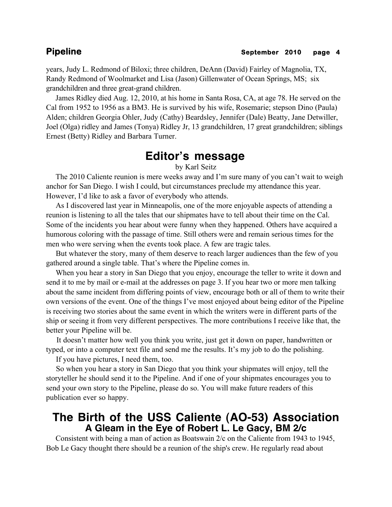years, Judy L. Redmond of Biloxi; three children, DeAnn (David) Fairley of Magnolia, TX, Randy Redmond of Woolmarket and Lisa (Jason) Gillenwater of Ocean Springs, MS; six grandchildren and three great-grand children.

 James Ridley died Aug. 12, 2010, at his home in Santa Rosa, CA, at age 78. He served on the Cal from 1952 to 1956 as a BM3. He is survived by his wife, Rosemarie; stepson Dino (Paula) Alden; children Georgia Ohler, Judy (Cathy) Beardsley, Jennifer (Dale) Beatty, Jane Detwiller, Joel (Olga) ridley and James (Tonya) Ridley Jr, 13 grandchildren, 17 great grandchildren; siblings Ernest (Betty) Ridley and Barbara Turner.

# **Editor's message**

by Karl Seitz

 The 2010 Caliente reunion is mere weeks away and I'm sure many of you can't wait to weigh anchor for San Diego. I wish I could, but circumstances preclude my attendance this year. However, I'd like to ask a favor of everybody who attends.

 As I discovered last year in Minneapolis, one of the more enjoyable aspects of attending a reunion is listening to all the tales that our shipmates have to tell about their time on the Cal. Some of the incidents you hear about were funny when they happened. Others have acquired a humorous coloring with the passage of time. Still others were and remain serious times for the men who were serving when the events took place. A few are tragic tales.

 But whatever the story, many of them deserve to reach larger audiences than the few of you gathered around a single table. That's where the Pipeline comes in.

 When you hear a story in San Diego that you enjoy, encourage the teller to write it down and send it to me by mail or e-mail at the addresses on page 3. If you hear two or more men talking about the same incident from differing points of view, encourage both or all of them to write their own versions of the event. One of the things I've most enjoyed about being editor of the Pipeline is receiving two stories about the same event in which the writers were in different parts of the ship or seeing it from very different perspectives. The more contributions I receive like that, the better your Pipeline will be.

 It doesn't matter how well you think you write, just get it down on paper, handwritten or typed, or into a computer text file and send me the results. It's my job to do the polishing.

If you have pictures, I need them, too.

 So when you hear a story in San Diego that you think your shipmates will enjoy, tell the storyteller he should send it to the Pipeline. And if one of your shipmates encourages you to send your own story to the Pipeline, please do so. You will make future readers of this publication ever so happy.

# **The Birth of the USS Caliente (AO-53) Association A Gleam in the Eye of Robert L. Le Gacy, BM 2/c**

 Consistent with being a man of action as Boatswain 2/c on the Caliente from 1943 to 1945, Bob Le Gacy thought there should be a reunion of the ship's crew. He regularly read about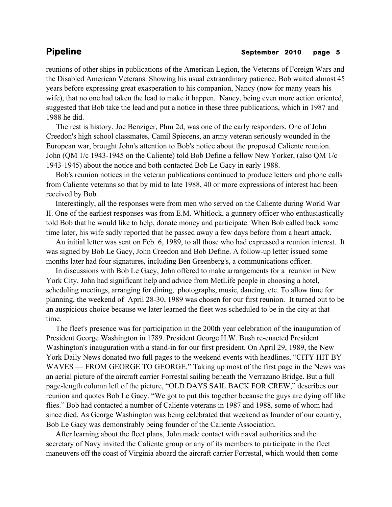reunions of other ships in publications of the American Legion, the Veterans of Foreign Wars and the Disabled American Veterans. Showing his usual extraordinary patience, Bob waited almost 45 years before expressing great exasperation to his companion, Nancy (now for many years his wife), that no one had taken the lead to make it happen. Nancy, being even more action oriented, suggested that Bob take the lead and put a notice in these three publications, which in 1987 and 1988 he did.

 The rest is history. Joe Benziger, Phm 2d, was one of the early responders. One of John Creedon's high school classmates, Camil Spiecens, an army veteran seriously wounded in the European war, brought John's attention to Bob's notice about the proposed Caliente reunion. John (QM 1/c 1943-1945 on the Caliente) told Bob Define a fellow New Yorker, (also QM 1/c 1943-1945) about the notice and both contacted Bob Le Gacy in early 1988.

 Bob's reunion notices in the veteran publications continued to produce letters and phone calls from Caliente veterans so that by mid to late 1988, 40 or more expressions of interest had been received by Bob.

 Interestingly, all the responses were from men who served on the Caliente during World War II. One of the earliest responses was from E.M. Whitlock, a gunnery officer who enthusiastically told Bob that he would like to help, donate money and participate. When Bob called back some time later, his wife sadly reported that he passed away a few days before from a heart attack.

 An initial letter was sent on Feb. 6, 1989, to all those who had expressed a reunion interest. It was signed by Bob Le Gacy, John Creedon and Bob Define. A follow-up letter issued some months later had four signatures, including Ben Greenberg's, a communications officer.

 In discussions with Bob Le Gacy, John offered to make arrangements for a reunion in New York City. John had significant help and advice from MetLife people in choosing a hotel, scheduling meetings, arranging for dining, photographs, music, dancing, etc. To allow time for planning, the weekend of April 28-30, 1989 was chosen for our first reunion. It turned out to be an auspicious choice because we later learned the fleet was scheduled to be in the city at that time.

 The fleet's presence was for participation in the 200th year celebration of the inauguration of President George Washington in 1789. President George H.W. Bush re-enacted President Washington's inauguration with a stand-in for our first president. On April 29, 1989, the New York Daily News donated two full pages to the weekend events with headlines, "CITY HIT BY WAVES — FROM GEORGE TO GEORGE." Taking up most of the first page in the News was an aerial picture of the aircraft carrier Forrestal sailing beneath the Verrazano Bridge. But a full page-length column left of the picture, "OLD DAYS SAIL BACK FOR CREW," describes our reunion and quotes Bob Le Gacy. "We got to put this together because the guys are dying off like flies." Bob had contacted a number of Caliente veterans in 1987 and 1988, some of whom had since died. As George Washington was being celebrated that weekend as founder of our country, Bob Le Gacy was demonstrably being founder of the Caliente Association.

 After learning about the fleet plans, John made contact with naval authorities and the secretary of Navy invited the Caliente group or any of its members to participate in the fleet maneuvers off the coast of Virginia aboard the aircraft carrier Forrestal, which would then come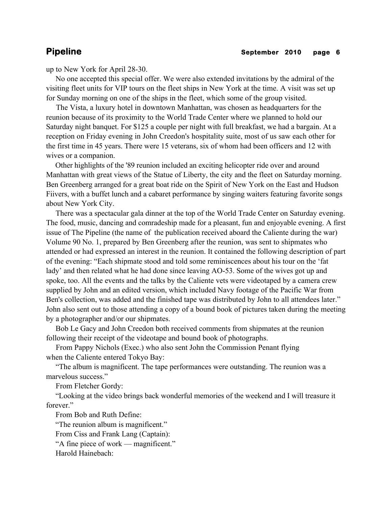up to New York for April 28-30.

 No one accepted this special offer. We were also extended invitations by the admiral of the visiting fleet units for VIP tours on the fleet ships in New York at the time. A visit was set up for Sunday morning on one of the ships in the fleet, which some of the group visited.

 The Vista, a luxury hotel in downtown Manhattan, was chosen as headquarters for the reunion because of its proximity to the World Trade Center where we planned to hold our Saturday night banquet. For \$125 a couple per night with full breakfast, we had a bargain. At a reception on Friday evening in John Creedon's hospitality suite, most of us saw each other for the first time in 45 years. There were 15 veterans, six of whom had been officers and 12 with wives or a companion.

 Other highlights of the '89 reunion included an exciting helicopter ride over and around Manhattan with great views of the Statue of Liberty, the city and the fleet on Saturday morning. Ben Greenberg arranged for a great boat ride on the Spirit of New York on the East and Hudson Fiivers, with a buffet lunch and a cabaret performance by singing waiters featuring favorite songs about New York City.

 There was a spectacular gala dinner at the top of the World Trade Center on Saturday evening. The food, music, dancing and comradeship made for a pleasant, fun and enjoyable evening. A first issue of The Pipeline (the name of the publication received aboard the Caliente during the war) Volume 90 No. 1, prepared by Ben Greenberg after the reunion, was sent to shipmates who attended or had expressed an interest in the reunion. It contained the following description of part of the evening: "Each shipmate stood and told some reminiscences about his tour on the 'fat lady' and then related what he had done since leaving AO-53. Some of the wives got up and spoke, too. All the events and the talks by the Caliente vets were videotaped by a camera crew supplied by John and an edited version, which included Navy footage of the Pacific War from Ben's collection, was added and the finished tape was distributed by John to all attendees later." John also sent out to those attending a copy of a bound book of pictures taken during the meeting by a photographer and/or our shipmates.

 Bob Le Gacy and John Creedon both received comments from shipmates at the reunion following their receipt of the videotape and bound book of photographs.

 From Pappy Nichols (Exec.) who also sent John the Commission Penant flying when the Caliente entered Tokyo Bay:

 "The album is magnificent. The tape performances were outstanding. The reunion was a marvelous success."

From Fletcher Gordy:

 "Looking at the video brings back wonderful memories of the weekend and I will treasure it forever."

From Bob and Ruth Define:

"The reunion album is magnificent."

From Ciss and Frank Lang (Captain):

"A fine piece of work — magnificent."

Harold Hainebach: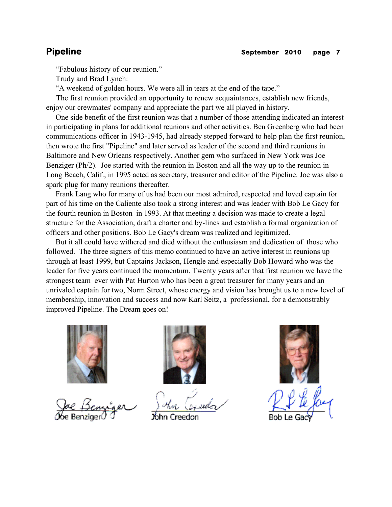"Fabulous history of our reunion."

Trudy and Brad Lynch:

"A weekend of golden hours. We were all in tears at the end of the tape."

 The first reunion provided an opportunity to renew acquaintances, establish new friends, enjoy our crewmates' company and appreciate the part we all played in history.

 One side benefit of the first reunion was that a number of those attending indicated an interest in participating in plans for additional reunions and other activities. Ben Greenberg who had been communications officer in 1943-1945, had already stepped forward to help plan the first reunion, then wrote the first "Pipeline" and later served as leader of the second and third reunions in Baltimore and New Orleans respectively. Another gem who surfaced in New York was Joe Benziger (Ph/2). Joe started with the reunion in Boston and all the way up to the reunion in Long Beach, Calif., in 1995 acted as secretary, treasurer and editor of the Pipeline. Joe was also a spark plug for many reunions thereafter.

 Frank Lang who for many of us had been our most admired, respected and loved captain for part of his time on the Caliente also took a strong interest and was leader with Bob Le Gacy for the fourth reunion in Boston in 1993. At that meeting a decision was made to create a legal structure for the Association, draft a charter and by-lines and establish a formal organization of officers and other positions. Bob Le Gacy's dream was realized and legitimized.

 But it all could have withered and died without the enthusiasm and dedication of those who followed. The three signers of this memo continued to have an active interest in reunions up through at least 1999, but Captains Jackson, Hengle and especially Bob Howard who was the leader for five years continued the momentum. Twenty years after that first reunion we have the strongest team ever with Pat Hurton who has been a great treasurer for many years and an unrivaled captain for two, Norm Street, whose energy and vision has brought us to a new level of membership, innovation and success and now Karl Seitz, a professional, for a demonstrably improved Pipeline. The Dream goes on!





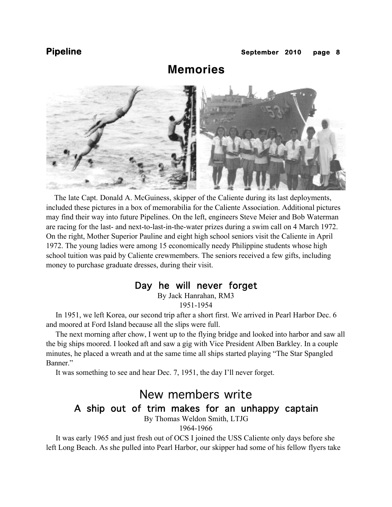# **Memories**



 The late Capt. Donald A. McGuiness, skipper of the Caliente during its last deployments, included these pictures in a box of memorabilia for the Caliente Association. Additional pictures may find their way into future Pipelines. On the left, engineers Steve Meier and Bob Waterman are racing for the last- and next-to-last-in-the-water prizes during a swim call on 4 March 1972. On the right, Mother Superior Pauline and eight high school seniors visit the Caliente in April 1972. The young ladies were among 15 economically needy Philippine students whose high school tuition was paid by Caliente crewmembers. The seniors received a few gifts, including money to purchase graduate dresses, during their visit.

### Day he will never forget

By Jack Hanrahan, RM3 1951-1954

 In 1951, we left Korea, our second trip after a short first. We arrived in Pearl Harbor Dec. 6 and moored at Ford Island because all the slips were full.

 The next morning after chow, I went up to the flying bridge and looked into harbor and saw all the big ships moored. I looked aft and saw a gig with Vice President Alben Barkley. In a couple minutes, he placed a wreath and at the same time all ships started playing "The Star Spangled Banner."

It was something to see and hear Dec. 7, 1951, the day I'll never forget.

# New members write A ship out of trim makes for an unhappy captain

By Thomas Weldon Smith, LTJG

1964-1966

 It was early 1965 and just fresh out of OCS I joined the USS Caliente only days before she left Long Beach. As she pulled into Pearl Harbor, our skipper had some of his fellow flyers take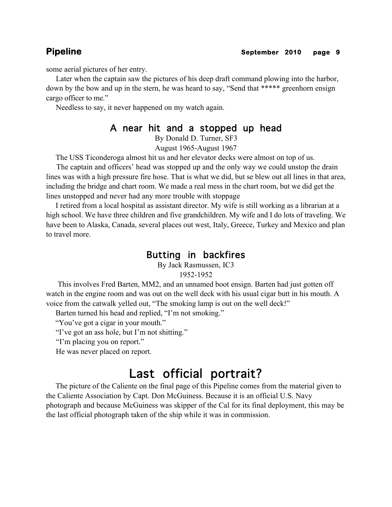some aerial pictures of her entry.

 Later when the captain saw the pictures of his deep draft command plowing into the harbor, down by the bow and up in the stern, he was heard to say, "Send that \*\*\*\*\* greenhorn ensign cargo officer to me."

Needless to say, it never happened on my watch again.

### A near hit and a stopped up head

By Donald D. Turner, SF3

August 1965-August 1967

The USS Ticonderoga almost hit us and her elevator decks were almost on top of us.

 The captain and officers' head was stopped up and the only way we could unstop the drain lines was with a high pressure fire hose. That is what we did, but se blew out all lines in that area, including the bridge and chart room. We made a real mess in the chart room, but we did get the lines unstopped and never had any more trouble with stoppage

 I retired from a local hospital as assistant director. My wife is still working as a librarian at a high school. We have three children and five grandchildren. My wife and I do lots of traveling. We have been to Alaska, Canada, several places out west, Italy, Greece, Turkey and Mexico and plan to travel more.

## Butting in backfires

By Jack Rasmussen, IC3

### 1952-1952

 This involves Fred Barten, MM2, and an unnamed boot ensign. Barten had just gotten off watch in the engine room and was out on the well deck with his usual cigar butt in his mouth. A voice from the catwalk yelled out, "The smoking lamp is out on the well deck!"

Barten turned his head and replied, "I'm not smoking."

"You've got a cigar in your mouth."

"I've got an ass hole, but I'm not shitting."

"I'm placing you on report."

He was never placed on report.

# Last official portrait?

 The picture of the Caliente on the final page of this Pipeline comes from the material given to the Caliente Association by Capt. Don McGuiness. Because it is an official U.S. Navy photograph and because McGuiness was skipper of the Cal for its final deployment, this may be the last official photograph taken of the ship while it was in commission.